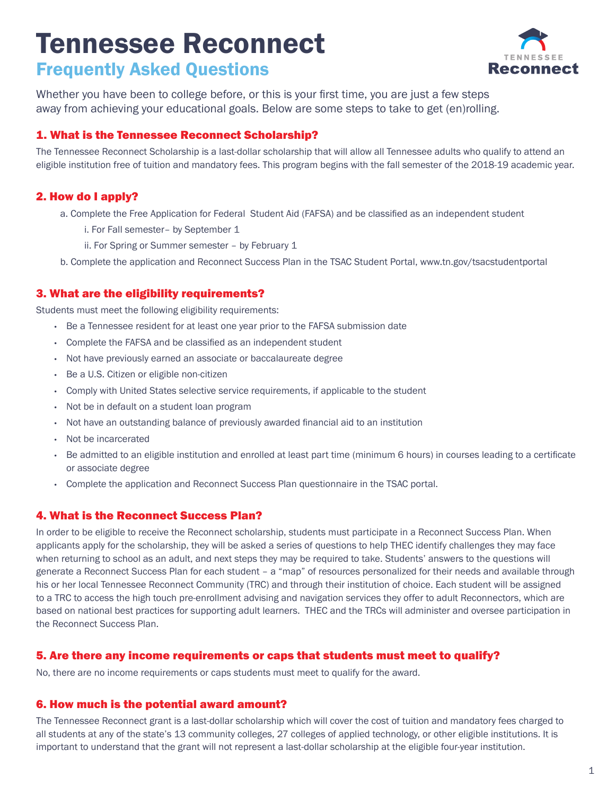# Tennessee Reconnect Frequently Asked Questions



Whether you have been to college before, or this is your first time, you are just a few steps away from achieving your educational goals. Below are some steps to take to get (en)rolling.

# 1. What is the Tennessee Reconnect Scholarship?

The Tennessee Reconnect Scholarship is a last-dollar scholarship that will allow all Tennessee adults who qualify to attend an eligible institution free of tuition and mandatory fees. This program begins with the fall semester of the 2018-19 academic year.

# 2. How do I apply?

- a. Complete the Free Application for Federal Student Aid (FAFSA) and be classified as an independent student
	- i. For Fall semester– by September 1
	- ii. For Spring or Summer semester by February 1
- b. Complete the application and Reconnect Success Plan in the TSAC Student Portal, www.tn.gov/tsacstudentportal

## 3. What are the eligibility requirements?

Students must meet the following eligibility requirements:

- Be a Tennessee resident for at least one year prior to the FAFSA submission date
- Complete the FAFSA and be classified as an independent student
- Not have previously earned an associate or baccalaureate degree
- Be a U.S. Citizen or eligible non-citizen
- Comply with United States selective service requirements, if applicable to the student
- Not be in default on a student loan program
- Not have an outstanding balance of previously awarded financial aid to an institution
- Not be incarcerated
- Be admitted to an eligible institution and enrolled at least part time (minimum 6 hours) in courses leading to a certificate or associate degree
- Complete the application and Reconnect Success Plan questionnaire in the TSAC portal.

## 4. What is the Reconnect Success Plan?

In order to be eligible to receive the Reconnect scholarship, students must participate in a Reconnect Success Plan. When applicants apply for the scholarship, they will be asked a series of questions to help THEC identify challenges they may face when returning to school as an adult, and next steps they may be required to take. Students' answers to the questions will generate a Reconnect Success Plan for each student – a "map" of resources personalized for their needs and available through his or her local Tennessee Reconnect Community (TRC) and through their institution of choice. Each student will be assigned to a TRC to access the high touch pre-enrollment advising and navigation services they offer to adult Reconnectors, which are based on national best practices for supporting adult learners. THEC and the TRCs will administer and oversee participation in the Reconnect Success Plan.

## 5. Are there any income requirements or caps that students must meet to qualify?

No, there are no income requirements or caps students must meet to qualify for the award.

## 6. How much is the potential award amount?

The Tennessee Reconnect grant is a last-dollar scholarship which will cover the cost of tuition and mandatory fees charged to all students at any of the state's 13 community colleges, 27 colleges of applied technology, or other eligible institutions. It is important to understand that the grant will not represent a last-dollar scholarship at the eligible four-year institution.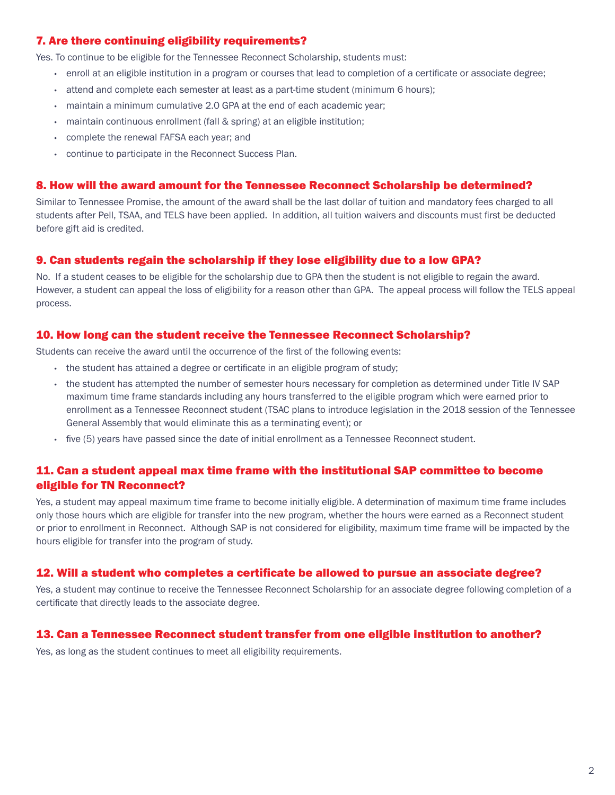# 7. Are there continuing eligibility requirements?

Yes. To continue to be eligible for the Tennessee Reconnect Scholarship, students must:

- enroll at an eligible institution in a program or courses that lead to completion of a certificate or associate degree;
- attend and complete each semester at least as a part-time student (minimum 6 hours);
- maintain a minimum cumulative 2.0 GPA at the end of each academic year;
- maintain continuous enrollment (fall & spring) at an eligible institution;
- complete the renewal FAFSA each year; and
- continue to participate in the Reconnect Success Plan.

#### 8. How will the award amount for the Tennessee Reconnect Scholarship be determined?

Similar to Tennessee Promise, the amount of the award shall be the last dollar of tuition and mandatory fees charged to all students after Pell, TSAA, and TELS have been applied. In addition, all tuition waivers and discounts must first be deducted before gift aid is credited.

#### 9. Can students regain the scholarship if they lose eligibility due to a low GPA?

No. If a student ceases to be eligible for the scholarship due to GPA then the student is not eligible to regain the award. However, a student can appeal the loss of eligibility for a reason other than GPA. The appeal process will follow the TELS appeal process.

#### 10. How long can the student receive the Tennessee Reconnect Scholarship?

Students can receive the award until the occurrence of the first of the following events:

- the student has attained a degree or certificate in an eligible program of study;
- the student has attempted the number of semester hours necessary for completion as determined under Title IV SAP maximum time frame standards including any hours transferred to the eligible program which were earned prior to enrollment as a Tennessee Reconnect student (TSAC plans to introduce legislation in the 2018 session of the Tennessee General Assembly that would eliminate this as a terminating event); or
- five (5) years have passed since the date of initial enrollment as a Tennessee Reconnect student.

# 11. Can a student appeal max time frame with the institutional SAP committee to become eligible for TN Reconnect?

Yes, a student may appeal maximum time frame to become initially eligible. A determination of maximum time frame includes only those hours which are eligible for transfer into the new program, whether the hours were earned as a Reconnect student or prior to enrollment in Reconnect. Although SAP is not considered for eligibility, maximum time frame will be impacted by the hours eligible for transfer into the program of study.

#### 12. Will a student who completes a certificate be allowed to pursue an associate degree?

Yes, a student may continue to receive the Tennessee Reconnect Scholarship for an associate degree following completion of a certificate that directly leads to the associate degree.

#### 13. Can a Tennessee Reconnect student transfer from one eligible institution to another?

Yes, as long as the student continues to meet all eligibility requirements.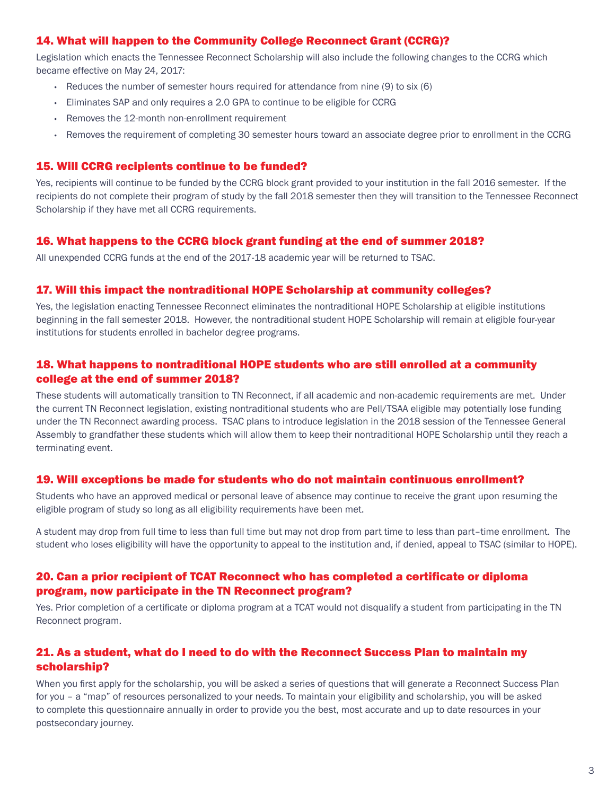## 14. What will happen to the Community College Reconnect Grant (CCRG)?

Legislation which enacts the Tennessee Reconnect Scholarship will also include the following changes to the CCRG which became effective on May 24, 2017:

- Reduces the number of semester hours required for attendance from nine (9) to six (6)
- Eliminates SAP and only requires a 2.0 GPA to continue to be eligible for CCRG
- Removes the 12-month non-enrollment requirement
- Removes the requirement of completing 30 semester hours toward an associate degree prior to enrollment in the CCRG

## 15. Will CCRG recipients continue to be funded?

Yes, recipients will continue to be funded by the CCRG block grant provided to your institution in the fall 2016 semester. If the recipients do not complete their program of study by the fall 2018 semester then they will transition to the Tennessee Reconnect Scholarship if they have met all CCRG requirements.

## 16. What happens to the CCRG block grant funding at the end of summer 2018?

All unexpended CCRG funds at the end of the 2017-18 academic year will be returned to TSAC.

## 17. Will this impact the nontraditional HOPE Scholarship at community colleges?

Yes, the legislation enacting Tennessee Reconnect eliminates the nontraditional HOPE Scholarship at eligible institutions beginning in the fall semester 2018. However, the nontraditional student HOPE Scholarship will remain at eligible four-year institutions for students enrolled in bachelor degree programs.

# 18. What happens to nontraditional HOPE students who are still enrolled at a community college at the end of summer 2018?

These students will automatically transition to TN Reconnect, if all academic and non-academic requirements are met. Under the current TN Reconnect legislation, existing nontraditional students who are Pell/TSAA eligible may potentially lose funding under the TN Reconnect awarding process. TSAC plans to introduce legislation in the 2018 session of the Tennessee General Assembly to grandfather these students which will allow them to keep their nontraditional HOPE Scholarship until they reach a terminating event.

#### 19. Will exceptions be made for students who do not maintain continuous enrollment?

Students who have an approved medical or personal leave of absence may continue to receive the grant upon resuming the eligible program of study so long as all eligibility requirements have been met.

A student may drop from full time to less than full time but may not drop from part time to less than part–time enrollment. The student who loses eligibility will have the opportunity to appeal to the institution and, if denied, appeal to TSAC (similar to HOPE).

## 20. Can a prior recipient of TCAT Reconnect who has completed a certificate or diploma program, now participate in the TN Reconnect program?

Yes. Prior completion of a certificate or diploma program at a TCAT would not disqualify a student from participating in the TN Reconnect program.

## 21. As a student, what do I need to do with the Reconnect Success Plan to maintain my scholarship?

When you first apply for the scholarship, you will be asked a series of questions that will generate a Reconnect Success Plan for you – a "map" of resources personalized to your needs. To maintain your eligibility and scholarship, you will be asked to complete this questionnaire annually in order to provide you the best, most accurate and up to date resources in your postsecondary journey.